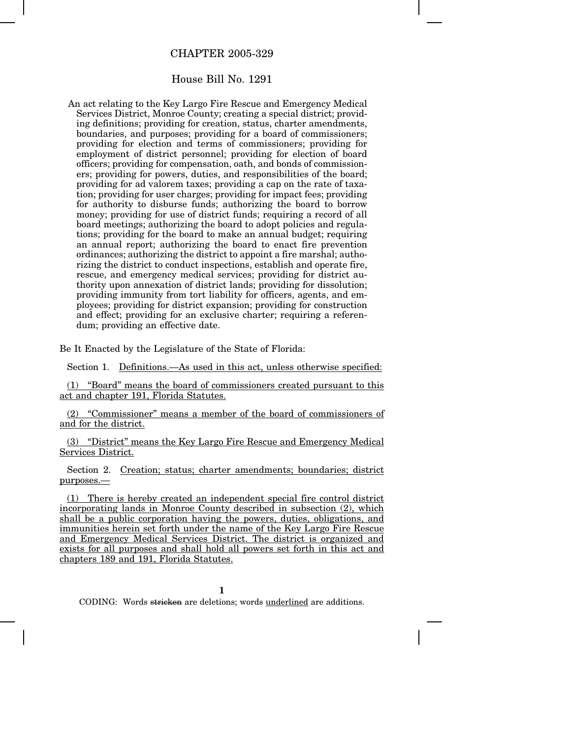## CHAPTER 2005-329

## House Bill No. 1291

An act relating to the Key Largo Fire Rescue and Emergency Medical Services District, Monroe County; creating a special district; providing definitions; providing for creation, status, charter amendments, boundaries, and purposes; providing for a board of commissioners; providing for election and terms of commissioners; providing for employment of district personnel; providing for election of board officers; providing for compensation, oath, and bonds of commissioners; providing for powers, duties, and responsibilities of the board; providing for ad valorem taxes; providing a cap on the rate of taxation; providing for user charges; providing for impact fees; providing for authority to disburse funds; authorizing the board to borrow money; providing for use of district funds; requiring a record of all board meetings; authorizing the board to adopt policies and regulations; providing for the board to make an annual budget; requiring an annual report; authorizing the board to enact fire prevention ordinances; authorizing the district to appoint a fire marshal; authorizing the district to conduct inspections, establish and operate fire, rescue, and emergency medical services; providing for district authority upon annexation of district lands; providing for dissolution; providing immunity from tort liability for officers, agents, and employees; providing for district expansion; providing for construction and effect; providing for an exclusive charter; requiring a referendum; providing an effective date.

Be It Enacted by the Legislature of the State of Florida:

Section 1. Definitions.—As used in this act, unless otherwise specified:

(1) "Board" means the board of commissioners created pursuant to this act and chapter 191, Florida Statutes.

(2) "Commissioner" means a member of the board of commissioners of and for the district.

(3) "District" means the Key Largo Fire Rescue and Emergency Medical Services District.

Section 2. Creation; status; charter amendments; boundaries; district purposes.—

(1) There is hereby created an independent special fire control district incorporating lands in Monroe County described in subsection (2), which shall be a public corporation having the powers, duties, obligations, and immunities herein set forth under the name of the Key Largo Fire Rescue and Emergency Medical Services District. The district is organized and exists for all purposes and shall hold all powers set forth in this act and chapters 189 and 191, Florida Statutes.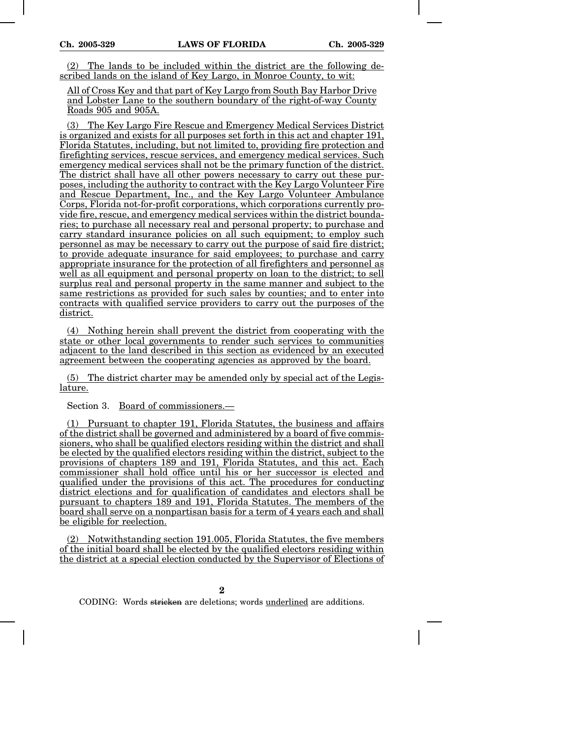The lands to be included within the district are the following described lands on the island of Key Largo, in Monroe County, to wit:

All of Cross Key and that part of Key Largo from South Bay Harbor Drive and Lobster Lane to the southern boundary of the right-of-way County Roads 905 and 905A.

(3) The Key Largo Fire Rescue and Emergency Medical Services District is organized and exists for all purposes set forth in this act and chapter 191, Florida Statutes, including, but not limited to, providing fire protection and firefighting services, rescue services, and emergency medical services. Such emergency medical services shall not be the primary function of the district. The district shall have all other powers necessary to carry out these purposes, including the authority to contract with the Key Largo Volunteer Fire and Rescue Department, Inc., and the Key Largo Volunteer Ambulance Corps, Florida not-for-profit corporations, which corporations currently provide fire, rescue, and emergency medical services within the district boundaries; to purchase all necessary real and personal property; to purchase and carry standard insurance policies on all such equipment; to employ such personnel as may be necessary to carry out the purpose of said fire district; to provide adequate insurance for said employees; to purchase and carry appropriate insurance for the protection of all firefighters and personnel as well as all equipment and personal property on loan to the district; to sell surplus real and personal property in the same manner and subject to the same restrictions as provided for such sales by counties; and to enter into contracts with qualified service providers to carry out the purposes of the district.

(4) Nothing herein shall prevent the district from cooperating with the state or other local governments to render such services to communities adjacent to the land described in this section as evidenced by an executed agreement between the cooperating agencies as approved by the board.

(5) The district charter may be amended only by special act of the Legislature.

Section 3. Board of commissioners.—

(1) Pursuant to chapter 191, Florida Statutes, the business and affairs of the district shall be governed and administered by a board of five commissioners, who shall be qualified electors residing within the district and shall be elected by the qualified electors residing within the district, subject to the provisions of chapters 189 and 191, Florida Statutes, and this act. Each commissioner shall hold office until his or her successor is elected and qualified under the provisions of this act. The procedures for conducting district elections and for qualification of candidates and electors shall be pursuant to chapters 189 and 191, Florida Statutes. The members of the board shall serve on a nonpartisan basis for a term of 4 years each and shall be eligible for reelection.

(2) Notwithstanding section 191.005, Florida Statutes, the five members of the initial board shall be elected by the qualified electors residing within the district at a special election conducted by the Supervisor of Elections of

**2**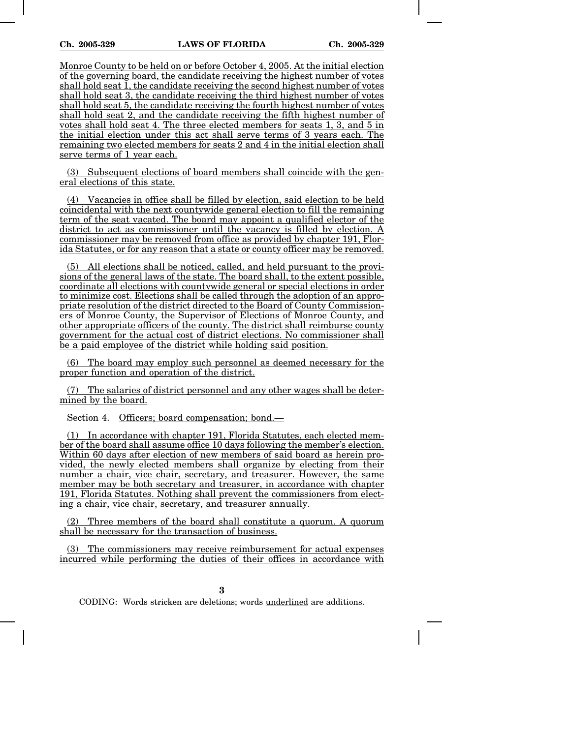Monroe County to be held on or before October 4, 2005. At the initial election of the governing board, the candidate receiving the highest number of votes shall hold seat 1, the candidate receiving the second highest number of votes shall hold seat 3, the candidate receiving the third highest number of votes shall hold seat 5, the candidate receiving the fourth highest number of votes shall hold seat 2, and the candidate receiving the fifth highest number of votes shall hold seat 4. The three elected members for seats 1, 3, and 5 in the initial election under this act shall serve terms of 3 years each. The remaining two elected members for seats 2 and 4 in the initial election shall serve terms of 1 year each.

(3) Subsequent elections of board members shall coincide with the general elections of this state.

(4) Vacancies in office shall be filled by election, said election to be held coincidental with the next countywide general election to fill the remaining term of the seat vacated. The board may appoint a qualified elector of the district to act as commissioner until the vacancy is filled by election. A commissioner may be removed from office as provided by chapter 191, Florida Statutes, or for any reason that a state or county officer may be removed.

(5) All elections shall be noticed, called, and held pursuant to the provisions of the general laws of the state. The board shall, to the extent possible, coordinate all elections with countywide general or special elections in order to minimize cost. Elections shall be called through the adoption of an appropriate resolution of the district directed to the Board of County Commissioners of Monroe County, the Supervisor of Elections of Monroe County, and other appropriate officers of the county. The district shall reimburse county government for the actual cost of district elections. No commissioner shall be a paid employee of the district while holding said position.

(6) The board may employ such personnel as deemed necessary for the proper function and operation of the district.

(7) The salaries of district personnel and any other wages shall be determined by the board.

Section 4. Officers; board compensation; bond.—

(1) In accordance with chapter 191, Florida Statutes, each elected member of the board shall assume office 10 days following the member's election. Within 60 days after election of new members of said board as herein provided, the newly elected members shall organize by electing from their number a chair, vice chair, secretary, and treasurer. However, the same member may be both secretary and treasurer, in accordance with chapter 191, Florida Statutes. Nothing shall prevent the commissioners from electing a chair, vice chair, secretary, and treasurer annually.

(2) Three members of the board shall constitute a quorum. A quorum shall be necessary for the transaction of business.

The commissioners may receive reimbursement for actual expenses incurred while performing the duties of their offices in accordance with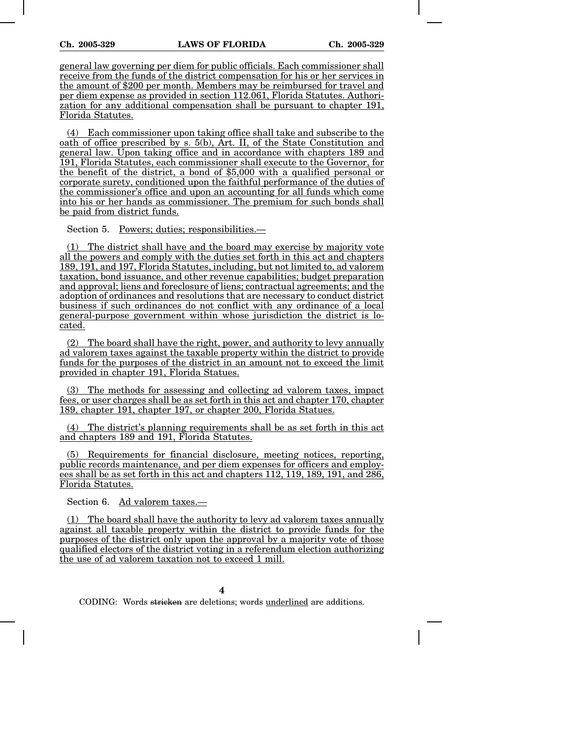general law governing per diem for public officials. Each commissioner shall receive from the funds of the district compensation for his or her services in the amount of \$200 per month. Members may be reimbursed for travel and per diem expense as provided in section 112.061, Florida Statutes. Authorization for any additional compensation shall be pursuant to chapter 191, Florida Statutes.

(4) Each commissioner upon taking office shall take and subscribe to the oath of office prescribed by s. 5(b), Art. II, of the State Constitution and general law. Upon taking office and in accordance with chapters 189 and 191, Florida Statutes, each commissioner shall execute to the Governor, for the benefit of the district, a bond of \$5,000 with a qualified personal or corporate surety, conditioned upon the faithful performance of the duties of the commissioner's office and upon an accounting for all funds which come into his or her hands as commissioner. The premium for such bonds shall be paid from district funds.

Section 5. Powers; duties; responsibilities.—

(1) The district shall have and the board may exercise by majority vote all the powers and comply with the duties set forth in this act and chapters 189, 191, and 197, Florida Statutes, including, but not limited to, ad valorem taxation, bond issuance, and other revenue capabilities; budget preparation and approval; liens and foreclosure of liens; contractual agreements; and the adoption of ordinances and resolutions that are necessary to conduct district business if such ordinances do not conflict with any ordinance of a local general-purpose government within whose jurisdiction the district is located.

(2) The board shall have the right, power, and authority to levy annually ad valorem taxes against the taxable property within the district to provide funds for the purposes of the district in an amount not to exceed the limit provided in chapter 191, Florida Statues.

(3) The methods for assessing and collecting ad valorem taxes, impact fees, or user charges shall be as set forth in this act and chapter 170, chapter 189, chapter 191, chapter 197, or chapter 200, Florida Statues.

(4) The district's planning requirements shall be as set forth in this act and chapters 189 and 191, Florida Statutes.

(5) Requirements for financial disclosure, meeting notices, reporting, public records maintenance, and per diem expenses for officers and employees shall be as set forth in this act and chapters 112, 119, 189, 191, and 286, Florida Statutes.

Section 6. Ad valorem taxes.—

(1) The board shall have the authority to levy ad valorem taxes annually against all taxable property within the district to provide funds for the purposes of the district only upon the approval by a majority vote of those qualified electors of the district voting in a referendum election authorizing the use of ad valorem taxation not to exceed 1 mill.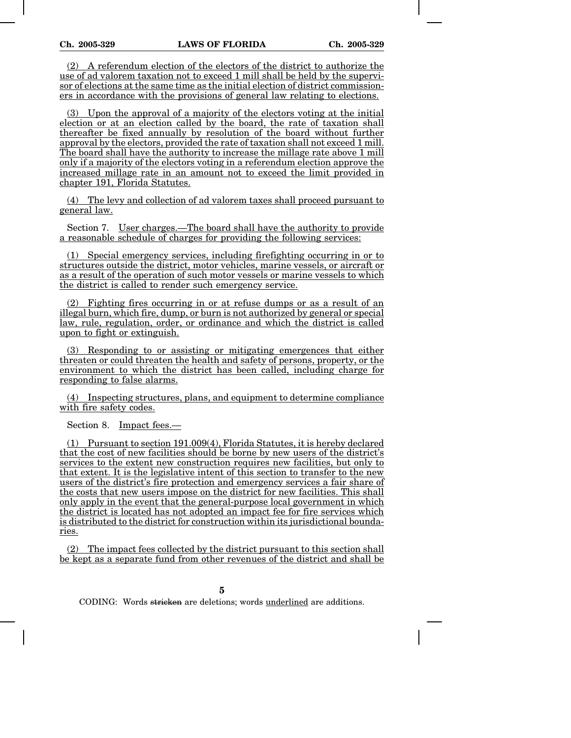(2) A referendum election of the electors of the district to authorize the use of ad valorem taxation not to exceed 1 mill shall be held by the supervisor of elections at the same time as the initial election of district commissioners in accordance with the provisions of general law relating to elections.

(3) Upon the approval of a majority of the electors voting at the initial election or at an election called by the board, the rate of taxation shall thereafter be fixed annually by resolution of the board without further approval by the electors, provided the rate of taxation shall not exceed 1 mill. The board shall have the authority to increase the millage rate above 1 mill only if a majority of the electors voting in a referendum election approve the increased millage rate in an amount not to exceed the limit provided in chapter 191, Florida Statutes.

(4) The levy and collection of ad valorem taxes shall proceed pursuant to general law.

Section 7. User charges.—The board shall have the authority to provide a reasonable schedule of charges for providing the following services:

(1) Special emergency services, including firefighting occurring in or to structures outside the district, motor vehicles, marine vessels, or aircraft or as a result of the operation of such motor vessels or marine vessels to which the district is called to render such emergency service.

(2) Fighting fires occurring in or at refuse dumps or as a result of an illegal burn, which fire, dump, or burn is not authorized by general or special law, rule, regulation, order, or ordinance and which the district is called upon to fight or extinguish.

(3) Responding to or assisting or mitigating emergences that either threaten or could threaten the health and safety of persons, property, or the environment to which the district has been called, including charge for responding to false alarms.

(4) Inspecting structures, plans, and equipment to determine compliance with fire safety codes.

Section 8. Impact fees.—

(1) Pursuant to section 191.009(4), Florida Statutes, it is hereby declared that the cost of new facilities should be borne by new users of the district's services to the extent new construction requires new facilities, but only to that extent. It is the legislative intent of this section to transfer to the new users of the district's fire protection and emergency services a fair share of the costs that new users impose on the district for new facilities. This shall only apply in the event that the general-purpose local government in which the district is located has not adopted an impact fee for fire services which is distributed to the district for construction within its jurisdictional boundaries.

(2) The impact fees collected by the district pursuant to this section shall be kept as a separate fund from other revenues of the district and shall be

**5**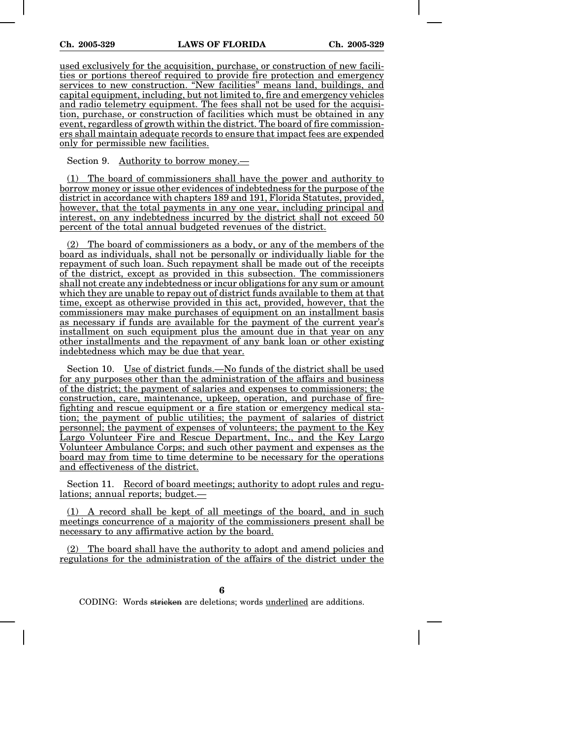used exclusively for the acquisition, purchase, or construction of new facilities or portions thereof required to provide fire protection and emergency services to new construction. "New facilities" means land, buildings, and capital equipment, including, but not limited to, fire and emergency vehicles and radio telemetry equipment. The fees shall not be used for the acquisition, purchase, or construction of facilities which must be obtained in any event, regardless of growth within the district. The board of fire commissioners shall maintain adequate records to ensure that impact fees are expended only for permissible new facilities.

Section 9. Authority to borrow money.—

(1) The board of commissioners shall have the power and authority to borrow money or issue other evidences of indebtedness for the purpose of the district in accordance with chapters 189 and 191, Florida Statutes, provided, however, that the total payments in any one year, including principal and interest, on any indebtedness incurred by the district shall not exceed 50 percent of the total annual budgeted revenues of the district.

The board of commissioners as a body, or any of the members of the board as individuals, shall not be personally or individually liable for the repayment of such loan. Such repayment shall be made out of the receipts of the district, except as provided in this subsection. The commissioners shall not create any indebtedness or incur obligations for any sum or amount which they are unable to repay out of district funds available to them at that time, except as otherwise provided in this act, provided, however, that the commissioners may make purchases of equipment on an installment basis as necessary if funds are available for the payment of the current year's installment on such equipment plus the amount due in that year on any other installments and the repayment of any bank loan or other existing indebtedness which may be due that year.

Section 10. Use of district funds.—No funds of the district shall be used for any purposes other than the administration of the affairs and business of the district; the payment of salaries and expenses to commissioners; the construction, care, maintenance, upkeep, operation, and purchase of firefighting and rescue equipment or a fire station or emergency medical station; the payment of public utilities; the payment of salaries of district personnel; the payment of expenses of volunteers; the payment to the Key Largo Volunteer Fire and Rescue Department, Inc., and the Key Largo Volunteer Ambulance Corps; and such other payment and expenses as the board may from time to time determine to be necessary for the operations and effectiveness of the district.

Section 11. Record of board meetings; authority to adopt rules and regulations; annual reports; budget.—

(1) A record shall be kept of all meetings of the board, and in such meetings concurrence of a majority of the commissioners present shall be necessary to any affirmative action by the board.

The board shall have the authority to adopt and amend policies and regulations for the administration of the affairs of the district under the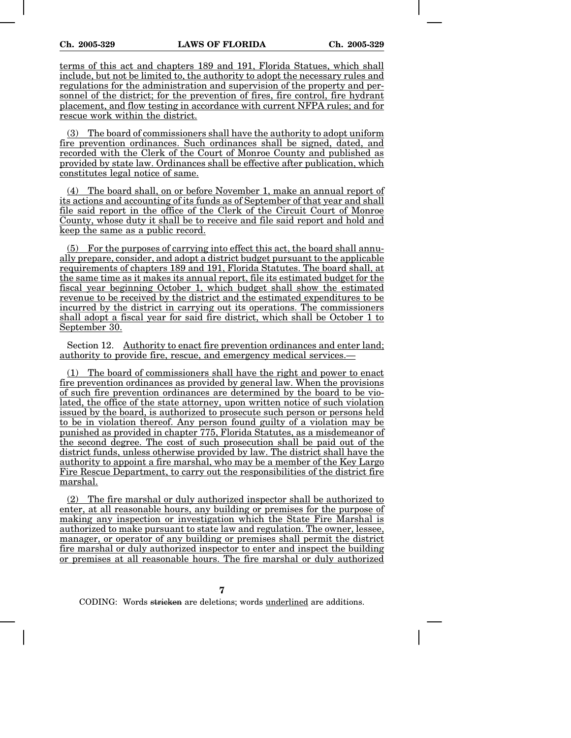terms of this act and chapters 189 and 191, Florida Statues, which shall include, but not be limited to, the authority to adopt the necessary rules and regulations for the administration and supervision of the property and personnel of the district; for the prevention of fires, fire control, fire hydrant placement, and flow testing in accordance with current NFPA rules; and for rescue work within the district.

(3) The board of commissioners shall have the authority to adopt uniform fire prevention ordinances. Such ordinances shall be signed, dated, and recorded with the Clerk of the Court of Monroe County and published as provided by state law. Ordinances shall be effective after publication, which constitutes legal notice of same.

(4) The board shall, on or before November 1, make an annual report of its actions and accounting of its funds as of September of that year and shall file said report in the office of the Clerk of the Circuit Court of Monroe County, whose duty it shall be to receive and file said report and hold and keep the same as a public record.

(5) For the purposes of carrying into effect this act, the board shall annually prepare, consider, and adopt a district budget pursuant to the applicable requirements of chapters 189 and 191, Florida Statutes. The board shall, at the same time as it makes its annual report, file its estimated budget for the fiscal year beginning October 1, which budget shall show the estimated revenue to be received by the district and the estimated expenditures to be incurred by the district in carrying out its operations. The commissioners shall adopt a fiscal year for said fire district, which shall be October 1 to September 30.

Section 12. Authority to enact fire prevention ordinances and enter land; authority to provide fire, rescue, and emergency medical services.—

The board of commissioners shall have the right and power to enact fire prevention ordinances as provided by general law. When the provisions of such fire prevention ordinances are determined by the board to be violated, the office of the state attorney, upon written notice of such violation issued by the board, is authorized to prosecute such person or persons held to be in violation thereof. Any person found guilty of a violation may be punished as provided in chapter 775, Florida Statutes, as a misdemeanor of the second degree. The cost of such prosecution shall be paid out of the district funds, unless otherwise provided by law. The district shall have the authority to appoint a fire marshal, who may be a member of the Key Largo Fire Rescue Department, to carry out the responsibilities of the district fire marshal.

(2) The fire marshal or duly authorized inspector shall be authorized to enter, at all reasonable hours, any building or premises for the purpose of making any inspection or investigation which the State Fire Marshal is authorized to make pursuant to state law and regulation. The owner, lessee, manager, or operator of any building or premises shall permit the district fire marshal or duly authorized inspector to enter and inspect the building or premises at all reasonable hours. The fire marshal or duly authorized

**7**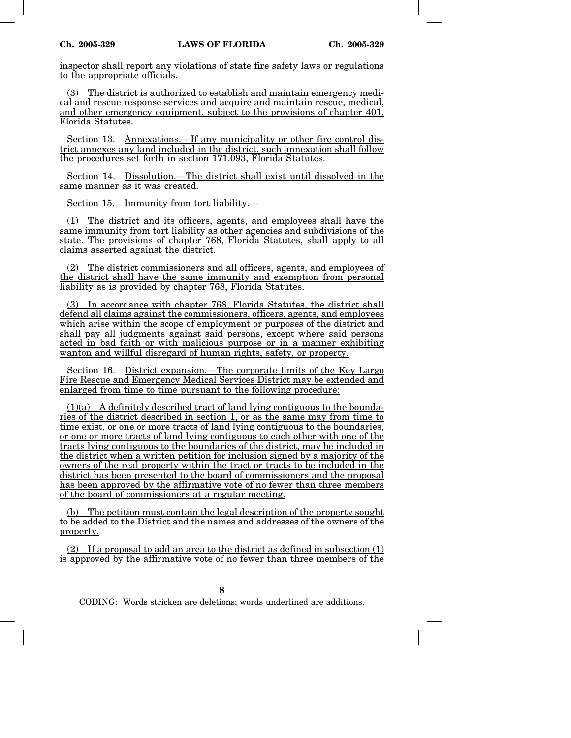inspector shall report any violations of state fire safety laws or regulations to the appropriate officials.

(3) The district is authorized to establish and maintain emergency medical and rescue response services and acquire and maintain rescue, medical, and other emergency equipment, subject to the provisions of chapter 401, Florida Statutes.

Section 13. Annexations.—If any municipality or other fire control district annexes any land included in the district, such annexation shall follow the procedures set forth in section 171.093, Florida Statutes.

Section 14. Dissolution.—The district shall exist until dissolved in the same manner as it was created.

Section 15. Immunity from tort liability.—

(1) The district and its officers, agents, and employees shall have the same immunity from tort liability as other agencies and subdivisions of the state. The provisions of chapter 768, Florida Statutes, shall apply to all claims asserted against the district.

(2) The district commissioners and all officers, agents, and employees of the district shall have the same immunity and exemption from personal liability as is provided by chapter 768, Florida Statutes.

(3) In accordance with chapter 768, Florida Statutes, the district shall defend all claims against the commissioners, officers, agents, and employees which arise within the scope of employment or purposes of the district and shall pay all judgments against said persons, except where said persons acted in bad faith or with malicious purpose or in a manner exhibiting wanton and willful disregard of human rights, safety, or property.

Section 16. District expansion.—The corporate limits of the Key Largo Fire Rescue and Emergency Medical Services District may be extended and enlarged from time to time pursuant to the following procedure:

 $(1)(a)$  A definitely described tract of land lying contiguous to the boundaries of the district described in section 1, or as the same may from time to time exist, or one or more tracts of land lying contiguous to the boundaries, or one or more tracts of land lying contiguous to each other with one of the tracts lying contiguous to the boundaries of the district, may be included in the district when a written petition for inclusion signed by a majority of the owners of the real property within the tract or tracts to be included in the district has been presented to the board of commissioners and the proposal has been approved by the affirmative vote of no fewer than three members of the board of commissioners at a regular meeting.

(b) The petition must contain the legal description of the property sought to be added to the District and the names and addresses of the owners of the property.

 $(2)$  If a proposal to add an area to the district as defined in subsection  $(1)$ is approved by the affirmative vote of no fewer than three members of the